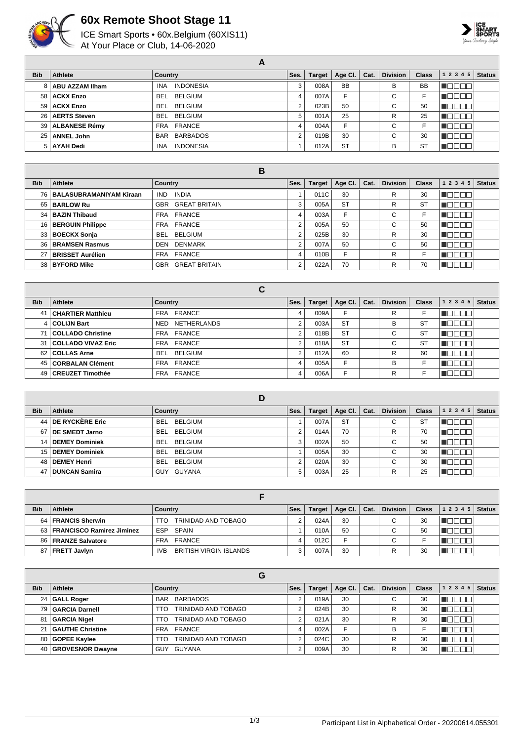

## **60x Remote Shoot Stage 11**

ICE Smart Sports • 60x.Belgium (60XIS11) At Your Place or Club, 14-06-2020



**A Bib Athlete Country Country Ses. Target Age Cl. Cat. Division Class 1 2 3 4 5 Status ABU AZZAM IIham** INA INDONESIA 3 008A BB BB  $\blacksquare$  **ACKX Enzo** BEL BELGIUM 4 007A F C F **MODOO ACKX Enzo** BEL BELGIUM 2 023B 50 C 50 **NOCOO AERTS Steven** BEL BELGIUM 5 001A 25 R 25 **HOOOO ALBANESE Rémy** FRA FRANCE 4 004A F C F  $\blacksquare$ **ANNEL John** BAR BARBADOS 2 019B 30 C 30 **Reces** 5 AYAH Dedi INA INDONESIA 1 012A ST B ST  $\blacksquare$ 

| в          |                              |                                    |                |               |             |      |                 |              |              |               |
|------------|------------------------------|------------------------------------|----------------|---------------|-------------|------|-----------------|--------------|--------------|---------------|
| <b>Bib</b> | Athlete                      | Country                            | Ses.           | <b>Target</b> | Age Cl. $ $ | Cat. | <b>Division</b> | <b>Class</b> | 12345        | <b>Status</b> |
|            | 76   BALASUBRAMANIYAM Kiraan | <b>INDIA</b><br>IND.               |                | 011C          | 30          |      | R               | 30           | חחרי         |               |
|            | 65   BARLOW Ru               | GBR GREAT BRITAIN                  | 3              | 005A          | <b>ST</b>   |      | R               | <b>ST</b>    | TOE          |               |
|            | 34   BAZIN Thibaud           | FRA FRANCE                         | 4              | 003A          | F           |      | C               | F            | <b>RANDA</b> |               |
|            | 16   BERGUIN Philippe        | FRA FRANCE                         | $\overline{2}$ | 005A          | 50          |      | C               | 50           | N E E E E    |               |
|            | 33   BOECKX Sonja            | <b>BELGIUM</b><br><b>BEL</b>       | 2              | 025B          | 30          |      | R               | 30           | 'noona       |               |
|            | 36 BRAMSEN Rasmus            | <b>DENMARK</b><br>DEN              | $\Omega$       | 007A          | 50          |      | C               | 50           | n oo oo      |               |
|            | 27 BRISSET Aurélien          | FRANCE<br><b>FRA</b>               | 4              | 010B          | F           |      | R               |              | .            |               |
|            | 38 BYFORD Mike               | <b>GREAT BRITAIN</b><br><b>GBR</b> | 2              | 022A          | 70          |      | R               | 70           | مصطلحات      |               |

|            |                          | С                          |      |               |           |      |                 |              |                            |
|------------|--------------------------|----------------------------|------|---------------|-----------|------|-----------------|--------------|----------------------------|
| <b>Bib</b> | Athlete                  | Country                    | Ses. | <b>Target</b> | Age Cl.   | Cat. | <b>Division</b> | <b>Class</b> | <b>Status</b><br>1 2 3 4 5 |
| 41         | <b>CHARTIER Matthieu</b> | FRA FRANCE                 | 4    | 009A          | F         |      | R               |              |                            |
|            | 4   COLIJN Bart          | <b>NETHERLANDS</b><br>NED. | າ    | 003A          | <b>ST</b> |      | в               | <b>ST</b>    |                            |
| 71         | COLLADO Christine        | FRA FRANCE                 | າ    | 018B          | <b>ST</b> |      | С               | <b>ST</b>    |                            |
| 31         | COLLADO VIVAZ Eric       | FRA FRANCE                 | າ    | 018A          | <b>ST</b> |      | $\sim$<br>U     | <b>ST</b>    |                            |
|            | 62 COLLAS Arne           | BEL<br>BELGIUM             | ∩    | 012A          | 60        |      | R               | 60           |                            |
|            | 45   CORBALAN Clément    | FRA FRANCE                 | 4    | 005A          | F         |      | в               |              |                            |
|            | 49   CREUZET Timothée    | FRA FRANCE                 | 4    | 006A          |           |      | R               |              |                            |

|                 |                       | D                     |      |               |           |      |                 |              |           |               |
|-----------------|-----------------------|-----------------------|------|---------------|-----------|------|-----------------|--------------|-----------|---------------|
| <b>Bib</b>      | Athlete               | Country               | Ses. | <b>Target</b> | Age Cl.   | Cat. | <b>Division</b> | <b>Class</b> | 1 2 3 4 5 | <b>Status</b> |
| 44              | DE RYCKÈRE Eric       | BELGIUM<br>BEL        |      | 007A          | <b>ST</b> |      | ⌒<br>U          | <b>ST</b>    |           |               |
| 67              | <b>DE SMEDT Jarno</b> | <b>BEL</b><br>BELGIUM | C    | 014A          | 70        |      | R               | 70           |           |               |
| 14 <sup>1</sup> | <b>DEMEY Dominiek</b> | <b>BEL</b><br>BELGIUM | 3    | 002A          | 50        |      | ⌒<br>U          | 50           |           |               |
|                 | 15   DEMEY Dominiek   | BELGIUM<br><b>BEL</b> |      | 005A          | 30        |      | $\sim$<br>U     | 30           |           |               |
| 48 I            | <b>DEMEY Henri</b>    | BEL.<br>BELGIUM       | ົ    | 020A          | 30        |      | $\sim$<br>U     | 30           |           |               |
| 47              | <b>DUNCAN Samira</b>  | GUYANA<br>GUY         | 5    | 003A          | 25        |      | R               | 25           |           |               |

| <b>Bib</b> | <b>Athlete</b>                 | Country                                     | Ses. | Target | Age CI. | Cat. | <b>Division</b> | <b>Class</b> | 1 2 3 4 5 | <b>Status</b> |
|------------|--------------------------------|---------------------------------------------|------|--------|---------|------|-----------------|--------------|-----------|---------------|
|            | 64   FRANCIS Sherwin           | TRINIDAD AND TOBAGO<br>TTO                  |      | 024A   | 30      |      |                 | 30           |           |               |
|            | 63   FRANCISCO Ramirez Jiminez | ESP SPAIN                                   |      | 010A   | 50      |      | $\sim$          | 50           |           |               |
|            | 86   FRANZE Salvatore          | FRA FRANCE                                  |      | 012C   |         |      | С               |              |           |               |
|            | 87   FRETT Javlyn              | <b>BRITISH VIRGIN ISLANDS</b><br><b>IVB</b> |      | 007A   | 30      |      |                 | 30           |           |               |

|                 |                       | G                             |            |        |         |      |                 |              |           |               |
|-----------------|-----------------------|-------------------------------|------------|--------|---------|------|-----------------|--------------|-----------|---------------|
| <b>Bib</b>      | Athlete               | Country                       | Ses.       | Target | Age Cl. | Cat. | <b>Division</b> | <b>Class</b> | 1 2 3 4 5 | <b>Status</b> |
| 24 <sub>1</sub> | GALL Roger            | <b>BARBADOS</b><br><b>BAR</b> | C          | 019A   | 30      |      | $\sim$<br>U     | 30           |           |               |
|                 | 79 GARCIA Darnell     | TRINIDAD AND TOBAGO<br>TTO    | $\sqrt{2}$ | 024B   | 30      |      | R               | 30           |           |               |
| 81 I            | GARCIA Nigel          | TRINIDAD AND TOBAGO<br>TTO    | ◠          | 021A   | 30      |      | R               | 30           |           |               |
|                 | 21   GAUTHE Christine | FRA FRANCE                    |            | 002A   | E       |      | B               |              |           |               |
|                 | 80   GOPEE Kaylee     | TRINIDAD AND TOBAGO<br>TTO    | C          | 024C   | 30      |      | R               | 30           |           |               |
|                 | 40   GROVESNOR Dwayne | GUYANA<br>GUY                 | $\sim$     | 009A   | 30      |      | R               | 30           |           |               |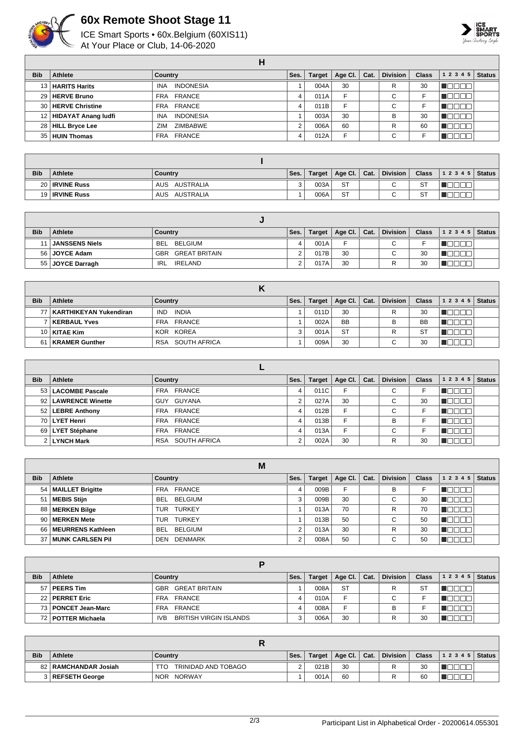

## **60x Remote Shoot Stage 11**

ICE Smart Sports • 60x.Belgium (60XIS11) At Your Place or Club, 14-06-2020



|            |                        | н                              |      |        |             |      |                 |              |           |               |
|------------|------------------------|--------------------------------|------|--------|-------------|------|-----------------|--------------|-----------|---------------|
| <b>Bib</b> | Athlete                | Country                        | Ses. | Target | Age Cl. $ $ | Cat. | <b>Division</b> | <b>Class</b> | 1 2 3 4 5 | <b>Status</b> |
|            | 13   HARITS Harits     | <b>INDONESIA</b><br><b>INA</b> |      | 004A   | 30          |      | R               | 30           |           |               |
|            | 29   HERVE Bruno       | FRA FRANCE                     | 4    | 011A   | F           |      | С               |              |           |               |
|            | 30   HERVE Christine   | FRA FRANCE                     | 4    | 011B   | F           |      | $\sim$<br>U     |              |           |               |
|            | 12 HIDAYAT Anang ludfi | <b>INDONESIA</b><br><b>INA</b> |      | 003A   | 30          |      | B               | 30           |           |               |
|            | 28 HILL Bryce Lee      | ZIMBABWE<br>ZIM                |      | 006A   | 60          |      | R               | 60           |           |               |
|            | 35 HUIN Thomas         | <b>FRANCE</b><br>FRA           | 4    | 012A   | E           |      | $\sim$<br>U     |              |           |               |

| <b>Bib</b> | <b>Athlete</b>        | Country          | Ses. | Target | Age Cl.   | Cat. | <b>Division</b> | <b>Class</b> | $ 12345 $ Status |  |
|------------|-----------------------|------------------|------|--------|-----------|------|-----------------|--------------|------------------|--|
|            | 20   IRVINE Russ      | AUS AUSTRALIA    |      | 003A   | <b>ST</b> |      | $\sim$          | <b>ST</b>    |                  |  |
|            | 19 <b>IRVINE Russ</b> | AUSTRALIA<br>AUS |      | 006A   | <b>ST</b> |      | $\sim$          | <b>ST</b>    |                  |  |

| <b>Bib</b> | <b>Athlete</b>      | Country                  | Ses. | <b>Target</b> | Age Cl.   Cat. | <b>Division</b>          | <b>Class</b> | $12345$ Status |  |
|------------|---------------------|--------------------------|------|---------------|----------------|--------------------------|--------------|----------------|--|
|            | 11   JANSSENS Niels | BELGIUM<br>BEL.          | 4    | 001A          | ⊏              | $\sim$                   |              |                |  |
|            | 56   JOYCE Adam     | <b>GBR GREAT BRITAIN</b> |      | 017B          | 30             | $\overline{\phantom{0}}$ | 30           |                |  |
|            | 55 JOYCE Darragh    | IRELAND<br><b>IRL</b>    |      | 017A          | 30             |                          | 30           |                |  |

| <b>Bib</b> | <b>Athlete</b>              | Country                    | Ses. | <b>Target</b> | Age Cl.   Cat. | <b>Division</b> | <b>Class</b> | 12345 | <b>Status</b> |
|------------|-----------------------------|----------------------------|------|---------------|----------------|-----------------|--------------|-------|---------------|
|            | 77   KARTHIKEYAN Yukendiran | <b>INDIA</b><br><b>IND</b> |      | 011D          | 30             | R               | 30           |       |               |
|            | KERBAUL Yves                | FRA FRANCE                 |      | 002A          | <b>BB</b>      |                 | <b>BB</b>    |       |               |
|            | 10   KITAE Kim              | KOR KOREA                  |      | 001A          | <b>ST</b>      |                 | S1           |       |               |
| 61         | <b>KRAMER Gunther</b>       | SOUTH AFRICA<br>RSA        |      | 009A          | 30             | $\sim$<br>◡     | 30           |       |               |

| <b>Bib</b> | Athlete               | Country          | Ses.   | Target | Age Cl. $ $ | Cat. | <b>Division</b> | <b>Class</b> | 1 2 3 4 5<br><b>Status</b> |
|------------|-----------------------|------------------|--------|--------|-------------|------|-----------------|--------------|----------------------------|
|            | 53   LACOMBE Pascale  | FRA FRANCE       | 4      | 011C   | Е           |      | $\sim$<br>U     |              |                            |
|            | 92   LAWRENCE Winette | GUY GUYANA       | $\sim$ | 027A   | 30          |      | $\sim$<br>U     | 30           |                            |
|            | 52   LEBRE Anthony    | FRA FRANCE       | 4      | 012B   | Е           |      | $\sim$<br>◡     |              |                            |
|            | 70 LYET Henri         | FRA FRANCE       | 4      | 013B   | Е           |      | B               |              |                            |
|            | 69   LYET Stéphane    | FRA FRANCE       |        | 013A   | F           |      | ⌒<br>◡          |              |                            |
|            | 2 LYNCH Mark          | RSA SOUTH AFRICA |        | 002A   | 30          |      | R               | 30           |                            |

|                 |                        | M                            |      |        |         |      |                 |              |                            |
|-----------------|------------------------|------------------------------|------|--------|---------|------|-----------------|--------------|----------------------------|
| <b>Bib</b>      | Athlete                | Country                      | Ses. | Target | Age Cl. | Cat. | <b>Division</b> | <b>Class</b> | <b>Status</b><br>1 2 3 4 5 |
|                 | 54   MAILLET Brigitte  | FRA FRANCE                   |      | 009B   | F       |      | В               |              |                            |
| 51 <sup>1</sup> | <b>MEBIS Stijn</b>     | <b>BELGIUM</b><br><b>BEL</b> | 3    | 009B   | 30      |      | С               | 30           |                            |
|                 | 88   MERKEN Bilge      | <b>TURKEY</b><br>TUR         |      | 013A   | 70      |      | R               | 70           |                            |
|                 | 90   MERKEN Mete       | <b>TURKEY</b><br>TUR         |      | 013B   | 50      |      | $\sim$<br>◡     | 50           |                            |
|                 | 66   MEURRENS Kathleen | <b>BELGIUM</b><br>BEL.       |      | 013A   | 30      |      | R               | 30           | Пſ<br>TOOI                 |
|                 | 37 MUNK CARLSEN Pil    | <b>DENMARK</b><br>DEN        |      | 008A   | 50      |      | ⌒<br>◡          | 50           |                            |

| <b>Bib</b>      | <b>Athlete</b>        | Country                              | Ses. | <b>Target</b> | Age Cl.   | Cat. | <b>Division</b> | <b>Class</b> | $ 12345 $ Status |  |
|-----------------|-----------------------|--------------------------------------|------|---------------|-----------|------|-----------------|--------------|------------------|--|
| 57 <sub>1</sub> | PEERS Tim             | <b>GREAT BRITAIN</b><br>GBR          |      | 008A          | <b>ST</b> |      | R               | S1           |                  |  |
|                 | 22   PERRET Eric      | FRANCE<br>FRA                        |      | 010A          | Е         |      | $\sim$<br>U     |              |                  |  |
|                 | 73   PONCET Jean-Marc | FRANCE<br><b>FRA</b>                 |      | 008A          | Е         |      | в               |              |                  |  |
|                 | 72   POTTER Michaela  | <b>BRITISH VIRGIN ISLANDS</b><br>IVB | ົ    | 006A          | 30        |      | D               | 30           |                  |  |

| <b>Bib</b> | <b>Athlete</b>       | Country                    | Ses. | Target | Age Cl.   Cat. |  | <b>Division</b> | <b>Class</b> | $12345$ Status |  |  |  |
|------------|----------------------|----------------------------|------|--------|----------------|--|-----------------|--------------|----------------|--|--|--|
|            | 82 RAMCHANDAR Josiah | TRINIDAD AND TOBAGO<br>TTO |      | 021B   | 30             |  |                 | 30           |                |  |  |  |
|            | 3 REFSETH George     | NOR NORWAY                 |      | 001A   | 60             |  |                 | 60           |                |  |  |  |